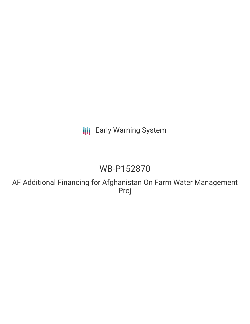**III** Early Warning System

# WB-P152870

AF Additional Financing for Afghanistan On Farm Water Management Proj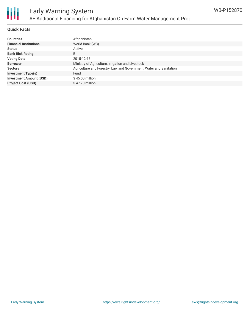

### **Quick Facts**

| <b>Countries</b>               | Afghanistan                                                        |
|--------------------------------|--------------------------------------------------------------------|
| <b>Financial Institutions</b>  | World Bank (WB)                                                    |
| <b>Status</b>                  | Active                                                             |
| <b>Bank Risk Rating</b>        | B                                                                  |
| <b>Voting Date</b>             | 2015-12-16                                                         |
| <b>Borrower</b>                | Ministry of Agriculture, Irrigation and Livestock                  |
| <b>Sectors</b>                 | Agriculture and Forestry, Law and Government, Water and Sanitation |
| <b>Investment Type(s)</b>      | Fund                                                               |
| <b>Investment Amount (USD)</b> | $$45.00$ million                                                   |
| <b>Project Cost (USD)</b>      | $$47.70$ million                                                   |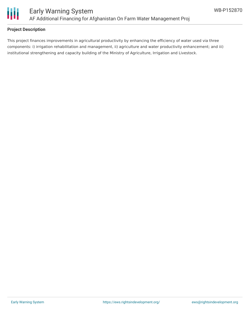

## **Project Description**

This project finances improvements in agricultural productivity by enhancing the efficiency of water used via three components: i) irrigation rehabilitation and management, ii) agriculture and water productivity enhancement; and iii) institutional strengthening and capacity building of the Ministry of Agriculture, Irrigation and Livestock.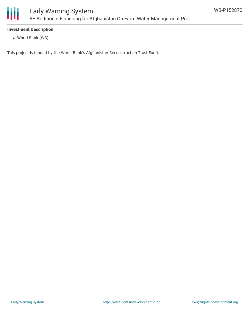

#### **Investment Description**

World Bank (WB)

This project is funded by the World Bank's Afghanistan Reconstruction Trust Fund.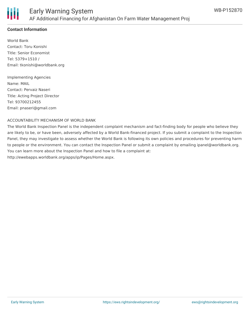

## **Contact Information**

World Bank Contact: Toru Konishi Title: Senior Economist Tel: 5379+1510 / Email: tkonishi@worldbank.org

Implementing Agencies Name: MAIL Contact: Pervaiz Naseri Title: Acting Project Director Tel: 93700212455 Email: pnaseri@gmail.com

#### ACCOUNTABILITY MECHANISM OF WORLD BANK

The World Bank Inspection Panel is the independent complaint mechanism and fact-finding body for people who believe they are likely to be, or have been, adversely affected by a World Bank-financed project. If you submit a complaint to the Inspection Panel, they may investigate to assess whether the World Bank is following its own policies and procedures for preventing harm to people or the environment. You can contact the Inspection Panel or submit a complaint by emailing ipanel@worldbank.org. You can learn more about the Inspection Panel and how to file a complaint at: http://ewebapps.worldbank.org/apps/ip/Pages/Home.aspx.